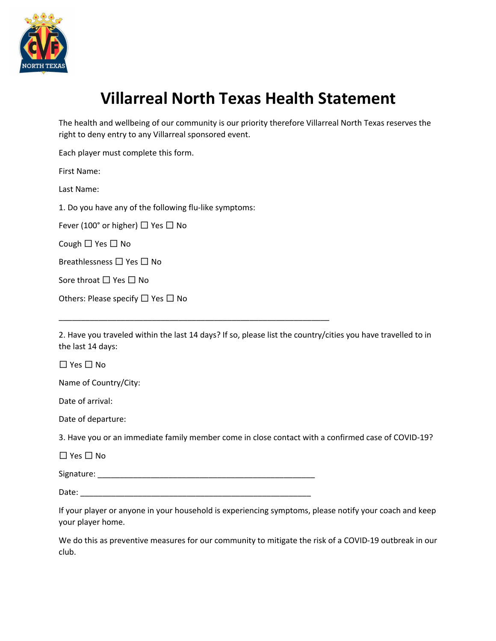

## **Villarreal North Texas Health Statement**

The health and wellbeing of our community is our priority therefore Villarreal North Texas reserves the right to deny entry to any Villarreal sponsored event.

Each player must complete this form.

First Name:

Last Name:

1. Do you have any of the following flu-like symptoms:

Fever (100 $^{\circ}$  or higher)  $\Box$  Yes  $\Box$  No

Cough  $\Box$  Yes  $\Box$  No

Breathlessness  $\Box$  Yes  $\Box$  No

Sore throat  $\Box$  Yes  $\Box$  No

| Others: Please specify $\Box$ Yes $\Box$ No |  |  |  |
|---------------------------------------------|--|--|--|
|                                             |  |  |  |

2. Have you traveled within the last 14 days? If so, please list the country/cities you have travelled to in the last 14 days:

 $\Box$  Yes  $\Box$  No

Name of Country/City:

Date of arrival:

Date of departure:

3. Have you or an immediate family member come in close contact with a confirmed case of COVID-19?

 $\Box$  Yes  $\Box$  No

Signature: \_\_\_\_\_\_\_\_\_\_\_\_\_\_\_\_\_\_\_\_\_\_\_\_\_\_\_\_\_\_\_\_\_\_\_\_\_\_\_\_\_\_\_\_\_\_\_\_\_

\_\_\_\_\_\_\_\_\_\_\_\_\_\_\_\_\_\_\_\_\_\_\_\_\_\_\_\_\_\_\_\_\_\_\_\_\_\_\_\_\_\_\_\_\_\_\_\_\_\_\_\_\_\_\_\_\_\_\_\_\_

Date: \_\_\_\_\_\_\_\_\_\_\_\_\_\_\_\_\_\_\_\_\_\_\_\_\_\_\_\_\_\_\_\_\_\_\_\_\_\_\_\_\_\_\_\_\_\_\_\_\_\_\_\_

If your player or anyone in your household is experiencing symptoms, please notify your coach and keep your player home.

We do this as preventive measures for our community to mitigate the risk of a COVID-19 outbreak in our club.